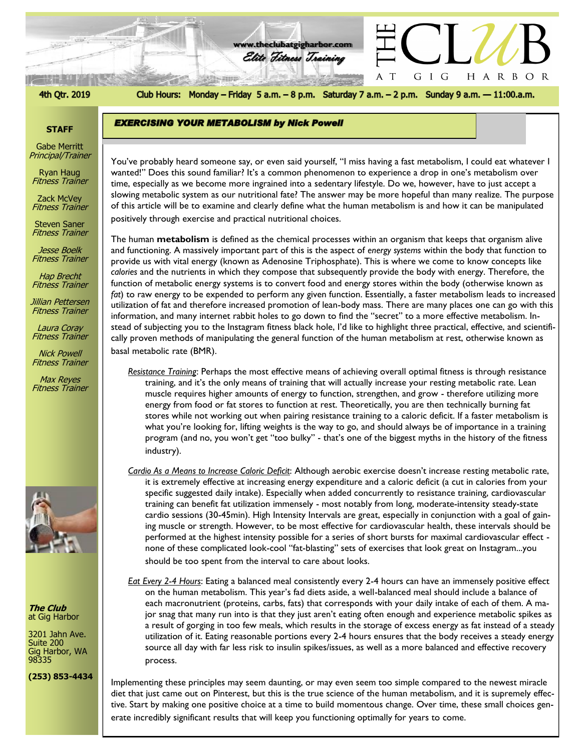## 4th Qtr. 2019

Club Hours: Monday - Friday 5 a.m. - 8 p.m. Saturday 7 a.m. - 2 p.m. Sunday 9 a.m. - 11:00.a.m.

G I G

 $\mathbf T$ A

HARBOR

**www.theclubatgigharbor.com**

Elite Fitness Training

注: 打印印)

**EXERCISING YOUR METABOLISM by Nick Powell** 

### **STAFF**

Gabe Merritt Principal/Trainer

Ryan Haug Fitness Trainer

Zack McVey Fitness Trainer

Steven Saner Fitness Trainer

Jesse Boelk Fitness Trainer

Hap Brecht Fitness Trainer

Jillian Pettersen Fitness Trainer

Laura Coray Fitness Trainer

Nick Powell Fitness Trainer

Max Reyes Fitness Trainer



**The Club** at Gig Harbor

3201 Jahn Ave. Suite 200 Gig Harbor, WA 98335

**(253) 853-4434**

*The Club at Gig Harbor* time, especially as we become more ingrained into a sedentary lifestyle. Do we, however, have to just accept a You've probably heard someone say, or even said yourself, "I miss having a fast metabolism, I could eat whatever I wanted!" Does this sound familiar? It's a common phenomenon to experience a drop in one's metabolism over slowing metabolic system as our nutritional fate? The answer may be more hopeful than many realize. The purpose of this article will be to examine and clearly define what the human metabolism is and how it can be manipulated positively through exercise and practical nutritional choices.

The human **metabolism** is defined as the chemical processes within an organism that keeps that organism alive and functioning. A massively important part of this is the aspect of *energy systems* within the body that function to provide us with vital energy (known as Adenosine Triphosphate). This is where we come to know concepts like *calories* and the nutrients in which they compose that subsequently provide the body with energy. Therefore, the function of metabolic energy systems is to convert food and energy stores within the body (otherwise known as *fat*) to raw energy to be expended to perform any given function. Essentially, a faster metabolism leads to increased utilization of fat and therefore increased promotion of lean-body mass. There are many places one can go with this information, and many internet rabbit holes to go down to find the "secret" to a more effective metabolism. Instead of subjecting you to the Instagram fitness black hole, I'd like to highlight three practical, effective, and scientifically proven methods of manipulating the general function of the human metabolism at rest, otherwise known as basal metabolic rate (BMR).

*Resistance Training*: Perhaps the most effective means of achieving overall optimal fitness is through resistance training, and it's the only means of training that will actually increase your resting metabolic rate. Lean muscle requires higher amounts of energy to function, strengthen, and grow - therefore utilizing more energy from food or fat stores to function at rest. Theoretically, you are then technically burning fat stores while not working out when pairing resistance training to a caloric deficit. If a faster metabolism is what you're looking for, lifting weights is the way to go, and should always be of importance in a training program (and no, you won't get "too bulky" - that's one of the biggest myths in the history of the fitness industry).

*Cardio As a Means to Increase Caloric Deficit*: Although aerobic exercise doesn't increase resting metabolic rate, it is extremely effective at increasing energy expenditure and a caloric deficit (a cut in calories from your specific suggested daily intake). Especially when added concurrently to resistance training, cardiovascular training can benefit fat utilization immensely - most notably from long, moderate-intensity steady-state cardio sessions (30-45min). High Intensity Intervals are great, especially in conjunction with a goal of gaining muscle or strength. However, to be most effective for cardiovascular health, these intervals should be performed at the highest intensity possible for a series of short bursts for maximal cardiovascular effect none of these complicated look-cool "fat-blasting" sets of exercises that look great on Instagram...you should be too spent from the interval to care about looks.

*Eat Every 2-4 Hours*: Eating a balanced meal consistently every 2-4 hours can have an immensely positive effect on the human metabolism. This year's fad diets aside, a well-balanced meal should include a balance of each macronutrient (proteins, carbs, fats) that corresponds with your daily intake of each of them. A major snag that many run into is that they just aren't eating often enough and experience metabolic spikes as a result of gorging in too few meals, which results in the storage of excess energy as fat instead of a steady utilization of it. Eating reasonable portions every 2-4 hours ensures that the body receives a steady energy source all day with far less risk to insulin spikes/issues, as well as a more balanced and effective recovery process.

Implementing these principles may seem daunting, or may even seem too simple compared to the newest miracle diet that just came out on Pinterest, but this is the true science of the human metabolism, and it is supremely effective. Start by making one positive choice at a time to build momentous change. Over time, these small choices gen-

erate incredibly significant results that will keep you functioning optimally for years to come.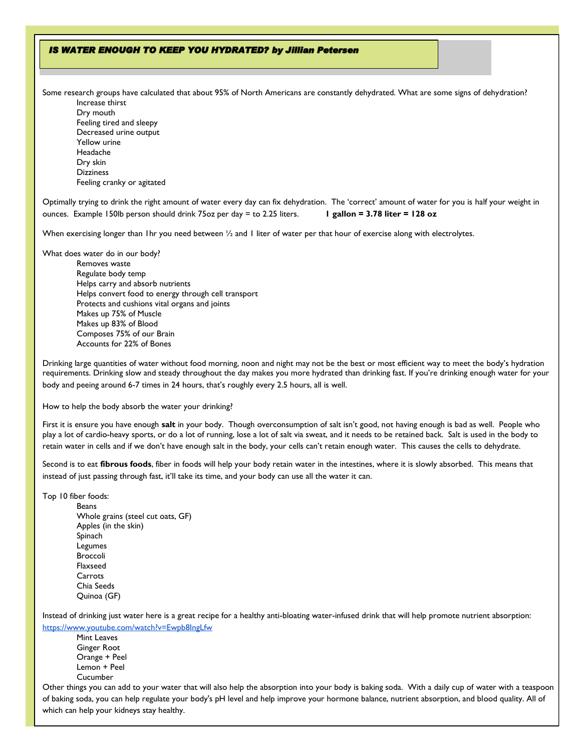## IS WATER ENOUGH TO KEEP YOU HYDRATED? by Jillian Petersen

Some research groups have calculated that about 95% of North Americans are constantly dehydrated. What are some signs of dehydration? Increase thirst

Dry mouth Feeling tired and sleepy Decreased urine output Yellow urine Headache Dry skin **Dizziness** Feeling cranky or agitated

Optimally trying to drink the right amount of water every day can fix dehydration. The 'correct' amount of water for you is half your weight in ounces. Example 150lb person should drink 75oz per day = to 2.25 liters. **1 gallon = 3.78 liter = 128 oz**

When exercising longer than 1hr you need between 1/2 and 1 liter of water per that hour of exercise along with electrolytes.

What does water do in our body?

Removes waste Regulate body temp Helps carry and absorb nutrients Helps convert food to energy through cell transport Protects and cushions vital organs and joints Makes up 75% of Muscle Makes up 83% of Blood Composes 75% of our Brain Accounts for 22% of Bones

Drinking large quantities of water without food morning, noon and night may not be the best or most efficient way to meet the body's hydration requirements. Drinking slow and steady throughout the day makes you more hydrated than drinking fast. If you're drinking enough water for your body and peeing around 6-7 times in 24 hours, that's roughly every 2.5 hours, all is well.

How to help the body absorb the water your drinking?

First it is ensure you have enough **salt** in your body. Though overconsumption of salt isn't good, not having enough is bad as well. People who play a lot of cardio-heavy sports, or do a lot of running, lose a lot of salt via sweat, and it needs to be retained back. Salt is used in the body to retain water in cells and if we don't have enough salt in the body, your cells can't retain enough water. This causes the cells to dehydrate.

Second is to eat **fibrous foods**, fiber in foods will help your body retain water in the intestines, where it is slowly absorbed. This means that instead of just passing through fast, it'll take its time, and your body can use all the water it can.

Top 10 fiber foods:

Beans Whole grains (steel cut oats, GF) Apples (in the skin) Spinach Legumes Broccoli Flaxseed Carrots Chia Seeds Quinoa (GF)

Instead of drinking just water here is a great recipe for a healthy anti-bloating water-infused drink that will help promote nutrient absorption: <https://www.youtube.com/watch?v=Ewpb8IngLfw>

Mint Leaves Ginger Root Orange + Peel Lemon + Peel Cucumber

Other things you can add to your water that will also help the absorption into your body is baking soda. With a daily cup of water with a teaspoon of baking soda, you can help regulate your body's pH level and help improve your hormone balance, nutrient absorption, and blood quality. All of which can help your kidneys stay healthy.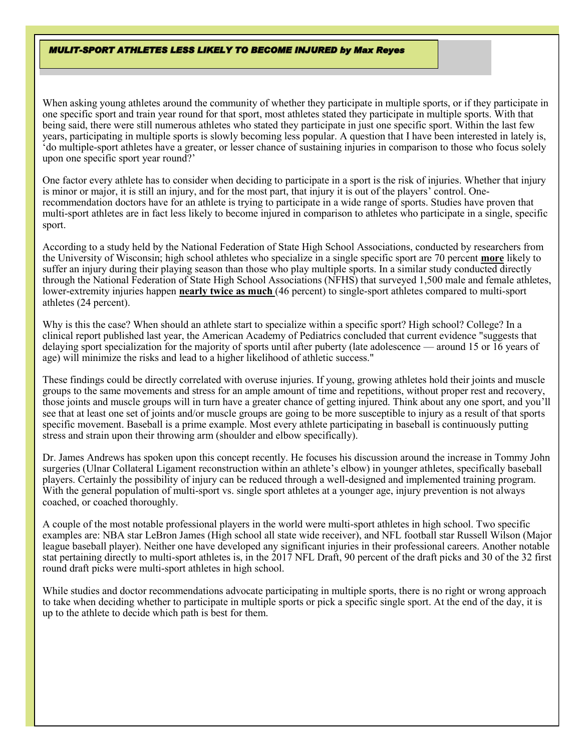#### **MULIT-SPORT ATHLETES LESS LIKELY TO BECOME INJURED by Max Reyes**

When asking young athletes around the community of whether they participate in multiple sports, or if they participate in one specific sport and train year round for that sport, most athletes stated they participate in multiple sports. With that being said, there were still numerous athletes who stated they participate in just one specific sport. Within the last few years, participating in multiple sports is slowly becoming less popular. A question that I have been interested in lately is, 'do multiple-sport athletes have a greater, or lesser chance of sustaining injuries in comparison to those who focus solely upon one specific sport year round?'

One factor every athlete has to consider when deciding to participate in a sport is the risk of injuries. Whether that injury is minor or major, it is still an injury, and for the most part, that injury it is out of the players' control. Onerecommendation doctors have for an athlete is trying to participate in a wide range of sports. Studies have proven that multi-sport athletes are in fact less likely to become injured in comparison to athletes who participate in a single, specific sport.

According to a study held by the National Federation of State High School Associations, conducted by researchers from the University of Wisconsin; high school athletes who specialize in a single specific sport are 70 percent **more** likely to suffer an injury during their playing season than those who play multiple sports. In a similar study conducted directly through the National Federation of State High School Associations (NFHS) that surveyed 1,500 male and female athletes, lower-extremity injuries happen **nearly twice as much** (46 percent) to single-sport athletes compared to multi-sport athletes (24 percent).

Why is this the case? When should an athlete start to specialize within a specific sport? High school? College? In a clinical [report](http://pediatrics.aappublications.org/content/early/2016/08/25/peds.2016-2148#xref-ref-49-1) published last year, the American Academy of Pediatrics concluded that current evidence "suggests that delaying sport specialization for the majority of sports until after puberty (late adolescence — around 15 or 16 years of age) will minimize the risks and lead to a higher likelihood of athletic success."

These findings could be directly correlated with overuse injuries. If young, growing athletes hold their joints and muscle groups to the same movements and stress for an ample amount of time and repetitions, without proper rest and recovery, those joints and muscle groups will in turn have a greater chance of getting injured. Think about any one sport, and you'll see that at least one set of joints and/or muscle groups are going to be more susceptible to injury as a result of that sports specific movement. Baseball is a prime example. Most every athlete participating in baseball is continuously putting stress and strain upon their throwing arm (shoulder and elbow specifically).

Dr. James Andrews has spoken upon this concept recently. He focuses his discussion around the increase in Tommy John surgeries (Ulnar Collateral Ligament reconstruction within an athlete's elbow) in younger athletes, specifically baseball players. Certainly the possibility of injury can be reduced through a well-designed and implemented training program. With the general population of multi-sport vs. single sport athletes at a younger age, injury prevention is not always coached, or coached thoroughly.

A couple of the most notable professional players in the world were multi-sport athletes in high school. Two specific examples are: NBA star LeBron James (High school all state wide receiver), and NFL football star Russell Wilson (Major league baseball player). Neither one have developed any significant injuries in their professional careers. Another notable stat pertaining directly to multi-sport athletes is, in the 2017 NFL Draft, 90 percent of the draft picks and 30 of the 32 first round draft picks were multi-sport athletes in high school.

While studies and doctor recommendations advocate participating in multiple sports, there is no right or wrong approach to take when deciding whether to participate in multiple sports or pick a specific single sport. At the end of the day, it is up to the athlete to decide which path is best for them.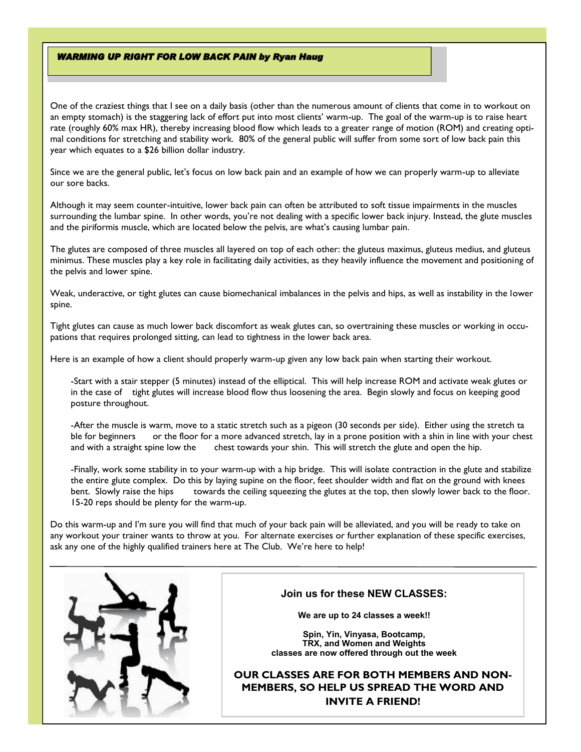### **WARMING UP RIGHT FOR LOW BACK PAIN by Ryan Haug**

One of the craziest things that I see on a daily basis (other than the numerous amount of clients that come in to workout on an empty stomach) is the staggering lack of effort put into most clients' warm-up. The goal of the warm-up is to raise heart rate (roughly 60% max HR), thereby increasing blood flow which leads to a greater range of motion (ROM) and creating optimal conditions for stretching and stability work. 80% of the general public will suffer from some sort of low back pain this year which equates to a \$26 billion dollar industry.

Since we are the general public, let's focus on low back pain and an example of how we can properly warm-up to alleviate our sore backs.

Although it may seem counter-intuitive, lower back pain can often be attributed to soft tissue impairments in the muscles surrounding the lumbar spine. In other words, you're not dealing with a specific lower back injury. Instead, the glute muscles and the piriformis muscle, which are located below the pelvis, are what's causing lumbar pain.

The glutes are composed of three muscles all layered on top of each other: the gluteus maximus, gluteus medius, and gluteus minimus. These muscles play a key role in facilitating daily activities, as they heavily influence the movement and positioning of the pelvis and lower spine.

Weak, underactive, or tight glutes can cause biomechanical imbalances in the pelvis and hips, as well as instability in the lower spine.

Tight glutes can cause as much lower back discomfort as weak glutes can, so overtraining these muscles or working in occupations that requires prolonged sitting, can lead to tightness in the lower back area.

Here is an example of how a client should properly warm-up given any low back pain when starting their workout.

-Start with a stair stepper (5 minutes) instead of the elliptical. This will help increase ROM and activate weak glutes or in the case of tight glutes will increase blood flow thus loosening the area. Begin slowly and focus on keeping good posture throughout.

-After the muscle is warm, move to a static stretch such as a pigeon (30 seconds per side). Either using the stretch ta ble for beginners or the floor for a more advanced stretch, lay in a prone position with a shin in line with your chest and with a straight spine low the chest towards your shin. This will stretch the glute and open the hip.

-Finally, work some stability in to your warm-up with a hip bridge. This will isolate contraction in the glute and stabilize the entire glute complex. Do this by laying supine on the floor, feet shoulder width and flat on the ground with knees bent. Slowly raise the hips towards the ceiling squeezing the glutes at the top, then slowly lower back to the floor. 15-20 reps should be plenty for the warm-up.

Do this warm-up and I'm sure you will find that much of your back pain will be alleviated, and you will be ready to take on any workout your trainer wants to throw at you. For alternate exercises or further explanation of these specific exercises, ask any one of the highly qualified trainers here at The Club. We're here to help!



## **Join us for these NEW CLASSES:**

**We are up to 24 classes a week!!**

**Spin, Yin, Vinyasa, Bootcamp, TRX, and Women and Weights classes are now offered through out the week**

**OUR CLASSES ARE FOR BOTH MEMBERS AND NON-MEMBERS, SO HELP US SPREAD THE WORD AND INVITE A FRIEND!**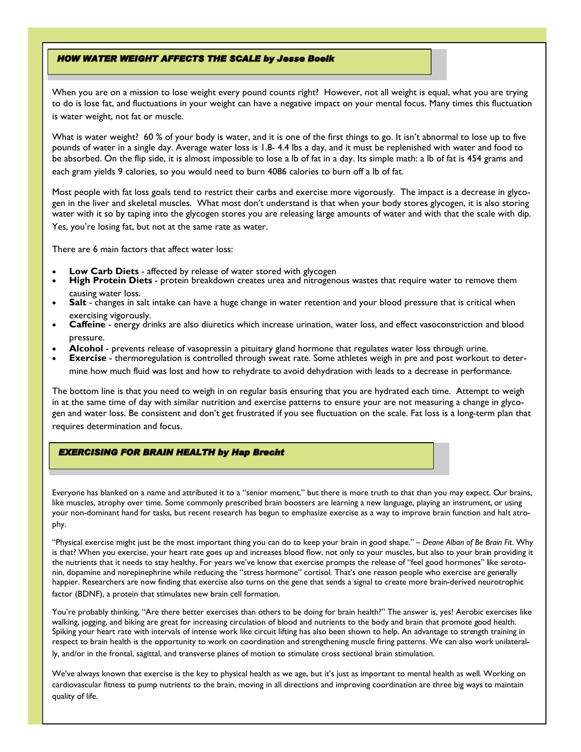### **HOW WATER WEIGHT AFFECTS THE SCALE by Jesse Boelk**

When you are on a mission to lose weight every pound counts right? However, not all weight is equal, what you are trying to do is lose fat, and fluctuations in your weight can have a negative impact on your mental focus. Many times this fluctuation is water weight, not fat or muscle.

What is water weight? 60 % of your body is water, and it is one of the first things to go. It isn't abnormal to lose up to five pounds of water in a single day. Average water loss is 1.8- 4.4 lbs a day, and it must be replenished with water and food to be absorbed. On the flip side, it is almost impossible to lose a lb of fat in a day. Its simple math: a lb of fat is 454 grams and each gram yields 9 calories, so you would need to burn 4086 calories to burn off a lb of fat.

Most people with fat loss goals tend to restrict their carbs and exercise more vigorously. The impact is a decrease in glycogen in the liver and skeletal muscles. What most don't understand is that when your body stores glycogen, it is also storing water with it so by taping into the glycogen stores you are releasing large amounts of water and with that the scale with dip. Yes, you're losing fat, but not at the same rate as water.

There are 6 main factors that affect water loss:

- **Low Carb Diets** affected by release of water stored with glycogen
- **High Protein Diets** protein breakdown creates urea and nitrogenous wastes that require water to remove them causing water loss.
- Salt changes in salt intake can have a huge change in water retention and your blood pressure that is critical when exercising vigorously.
- **Caffeine** energy drinks are also diuretics which increase urination, water loss, and effect vasoconstriction and blood pressure.
- **Alcohol** prevents release of vasopressin a pituitary gland hormone that regulates water loss through urine.
- **Exercise** thermoregulation is controlled through sweat rate. Some athletes weigh in pre and post workout to deter-

mine how much fluid was lost and how to rehydrate to avoid dehydration with leads to a decrease in performance.

The bottom line is that you need to weigh in on regular basis ensuring that you are hydrated each time. Attempt to weigh in at the same time of day with similar nutrition and exercise patterns to ensure your are not measuring a change in glycogen and water loss. Be consistent and don't get frustrated if you see fluctuation on the scale. Fat loss is a long-term plan that requires determination and focus.

## **EXERCISING FOR BRAIN HEALTH by Hap Brecht**

Everyone has blanked on a name and attributed it to a "senior moment," but there is more truth to that than you may expect. Our brains, like muscles, atrophy over time. Some commonly prescribed brain boosters are learning a new language, playing an instrument, or using your non-dominant hand for tasks, but recent research has begun to emphasize exercise as a way to improve brain function and halt atrophy.

"Physical exercise might just be the most important thing you can do to keep your brain in good shape." *– Deane Alban of Be Brain Fit*. Why is that? When you exercise, your heart rate goes up and increases blood flow, not only to your muscles, but also to your brain providing it the nutrients that it needs to stay healthy. For years we've know that exercise prompts the release of "feel good hormones" like serotonin, dopamine and norepinephrine while reducing the "stress hormone" cortisol. That's one reason people who exercise are generally happier. Researchers are now finding that exercise also turns on the gene that sends a signal to create more brain-derived neurotrophic factor (BDNF), a protein that stimulates new brain cell formation.

You're probably thinking, "Are there better exercises than others to be doing for brain health?" The answer is, yes! Aerobic exercises like walking, jogging, and biking are great for increasing circulation of blood and nutrients to the body and brain that promote good health. Spiking your heart rate with intervals of intense work like circuit lifting has also been shown to help. An advantage to strength training in respect to brain health is the opportunity to work on coordination and strengthening muscle firing patterns. We can also work unilaterally, and/or in the frontal, sagittal, and transverse planes of motion to stimulate cross sectional brain stimulation.

We've always known that exercise is the key to physical health as we age, but it's just as important to mental health as well. Working on cardiovascular fitness to pump nutrients to the brain, moving in all directions and improving coordination are three big ways to maintain quality of life.